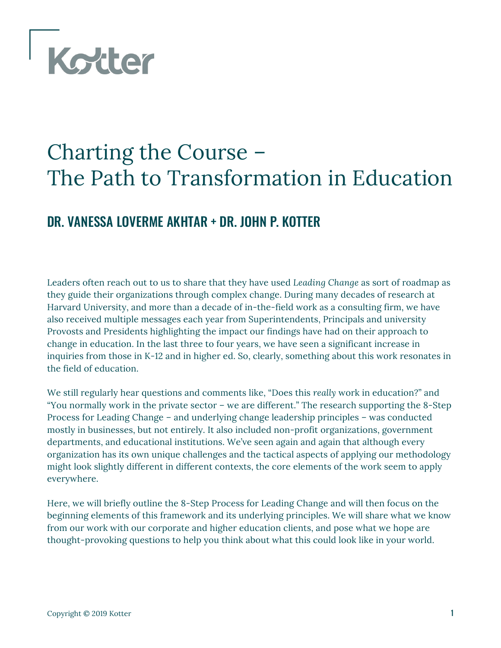

# Charting the Course – The Path to Transformation in Education

## DR. VANESSA LOVERME AKHTAR + DR. JOHN P. KOTTER

Leaders often reach out to us to share that they have used *Leading Change* as sort of roadmap as they guide their organizations through complex change. During many decades of research at Harvard University, and more than a decade of in-the-field work as a consulting firm, we have also received multiple messages each year from Superintendents, Principals and university Provosts and Presidents highlighting the impact our findings have had on their approach to change in education. In the last three to four years, we have seen a significant increase in inquiries from those in K-12 and in higher ed. So, clearly, something about this work resonates in the field of education.

We still regularly hear questions and comments like, "Does this *really* work in education?" and "You normally work in the private sector – we are different." The research supporting the 8-Step Process for Leading Change – and underlying change leadership principles – was conducted mostly in businesses, but not entirely. It also included non-profit organizations, government departments, and educational institutions. We've seen again and again that although every organization has its own unique challenges and the tactical aspects of applying our methodology might look slightly different in different contexts, the core elements of the work seem to apply everywhere.

Here, we will briefly outline the 8-Step Process for Leading Change and will then focus on the beginning elements of this framework and its underlying principles. We will share what we know from our work with our corporate and higher education clients, and pose what we hope are thought-provoking questions to help you think about what this could look like in your world.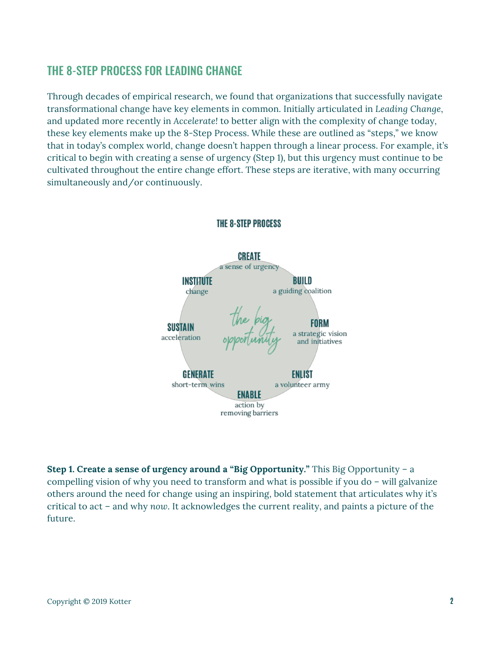## THE 8-STEP PROCESS FOR LEADING CHANGE

Through decades of empirical research, we found that organizations that successfully navigate transformational change have key elements in common. Initially articulated in *Leading Change*, and updated more recently in *Accelerate!* to better align with the complexity of change today, these key elements make up the 8-Step Process. While these are outlined as "steps," we know that in today's complex world, change doesn't happen through a linear process. For example, it's critical to begin with creating a sense of urgency (Step 1), but this urgency must continue to be cultivated throughout the entire change effort. These steps are iterative, with many occurring simultaneously and/or continuously.



#### **THE 8-STEP PROCESS**

**Step 1. Create a sense of urgency around a "Big Opportunity."** This Big Opportunity – a compelling vision of why you need to transform and what is possible if you do – will galvanize others around the need for change using an inspiring, bold statement that articulates why it's critical to act – and why *now*. It acknowledges the current reality, and paints a picture of the future.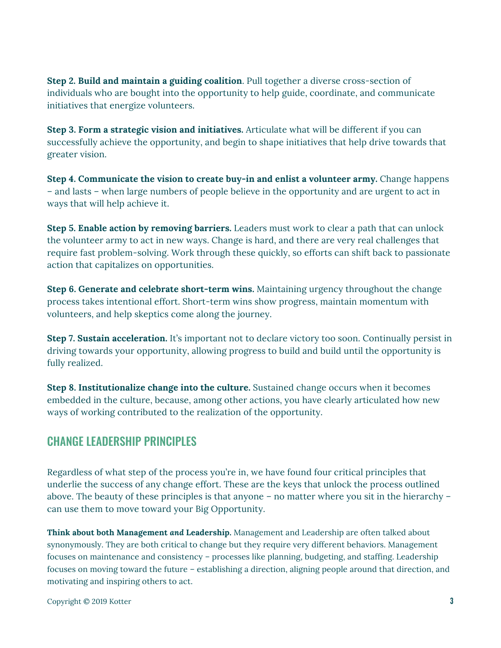**Step 2. Build and maintain a guiding coalition**. Pull together a diverse cross-section of individuals who are bought into the opportunity to help guide, coordinate, and communicate initiatives that energize volunteers.

**Step 3. Form a strategic vision and initiatives.** Articulate what will be different if you can successfully achieve the opportunity, and begin to shape initiatives that help drive towards that greater vision.

**Step 4. Communicate the vision to create buy-in and enlist a volunteer army.** Change happens – and lasts – when large numbers of people believe in the opportunity and are urgent to act in ways that will help achieve it.

**Step 5. Enable action by removing barriers.** Leaders must work to clear a path that can unlock the volunteer army to act in new ways. Change is hard, and there are very real challenges that require fast problem-solving. Work through these quickly, so efforts can shift back to passionate action that capitalizes on opportunities.

**Step 6. Generate and celebrate short-term wins.** Maintaining urgency throughout the change process takes intentional effort. Short-term wins show progress, maintain momentum with volunteers, and help skeptics come along the journey.

**Step 7. Sustain acceleration.** It's important not to declare victory too soon. Continually persist in driving towards your opportunity, allowing progress to build and build until the opportunity is fully realized.

**Step 8. Institutionalize change into the culture.** Sustained change occurs when it becomes embedded in the culture, because, among other actions, you have clearly articulated how new ways of working contributed to the realization of the opportunity.

## CHANGE LEADERSHIP PRINCIPLES

Regardless of what step of the process you're in, we have found four critical principles that underlie the success of any change effort. These are the keys that unlock the process outlined above. The beauty of these principles is that anyone – no matter where you sit in the hierarchy – can use them to move toward your Big Opportunity.

**Think about both Management** *and* **Leadership.** Management and Leadership are often talked about synonymously. They are both critical to change but they require very different behaviors. Management focuses on maintenance and consistency – processes like planning, budgeting, and staffing. Leadership focuses on moving toward the future – establishing a direction, aligning people around that direction, and motivating and inspiring others to act.

Copyright © 2019 Kotter **3**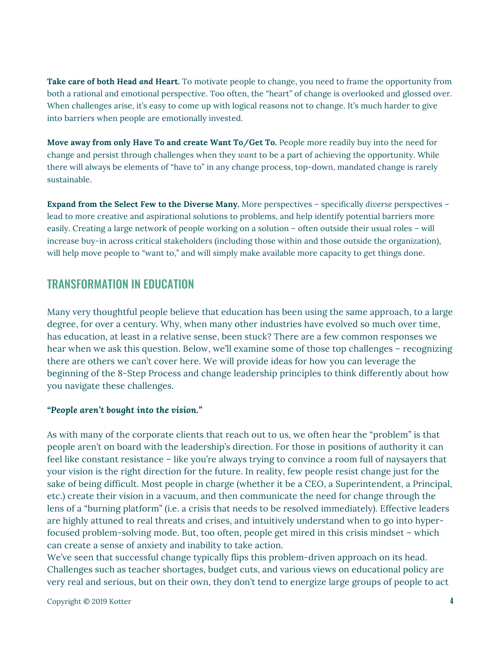**Take care of both Head** *and* **Heart.** To motivate people to change, you need to frame the opportunity from both a rational and emotional perspective. Too often, the "heart" of change is overlooked and glossed over. When challenges arise, it's easy to come up with logical reasons not to change. It's much harder to give into barriers when people are emotionally invested.

**Move away from only Have To and create Want To/Get To.** People more readily buy into the need for change and persist through challenges when they *want* to be a part of achieving the opportunity. While there will always be elements of "have to" in any change process, top-down, mandated change is rarely sustainable.

**Expand from the Select Few to the Diverse Many.** More perspectives – specifically *diverse* perspectives – lead to more creative and aspirational solutions to problems, and help identify potential barriers more easily. Creating a large network of people working on a solution – often outside their usual roles – will increase buy-in across critical stakeholders (including those within and those outside the organization), will help move people to "want to," and will simply make available more capacity to get things done.

## TRANSFORMATION IN EDUCATION

Many very thoughtful people believe that education has been using the same approach, to a large degree, for over a century. Why, when many other industries have evolved so much over time, has education, at least in a relative sense, been stuck? There are a few common responses we hear when we ask this question. Below, we'll examine some of those top challenges – recognizing there are others we can't cover here. We will provide ideas for how you can leverage the beginning of the 8-Step Process and change leadership principles to think differently about how you navigate these challenges.

#### *"People aren't bought into the vision."*

As with many of the corporate clients that reach out to us, we often hear the "problem" is that people aren't on board with the leadership's direction. For those in positions of authority it can feel like constant resistance – like you're always trying to convince a room full of naysayers that your vision is the right direction for the future. In reality, few people resist change just for the sake of being difficult. Most people in charge (whether it be a CEO, a Superintendent, a Principal, etc.) create their vision in a vacuum, and then communicate the need for change through the lens of a "burning platform" (i.e. a crisis that needs to be resolved immediately). Effective leaders are highly attuned to real threats and crises, and intuitively understand when to go into hyperfocused problem-solving mode. But, too often, people get mired in this crisis mindset – which can create a sense of anxiety and inability to take action.

We've seen that successful change typically flips this problem-driven approach on its head. Challenges such as teacher shortages, budget cuts, and various views on educational policy are very real and serious, but on their own, they don't tend to energize large groups of people to act

Copyright © 2019 Kotter **4**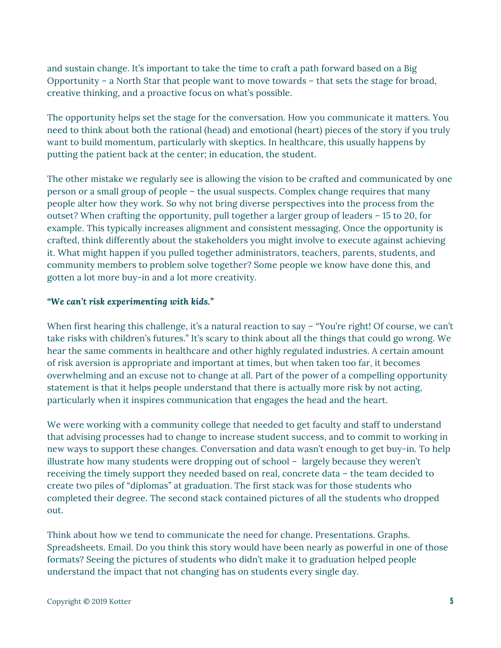and sustain change. It's important to take the time to craft a path forward based on a Big Opportunity – a North Star that people want to move towards – that sets the stage for broad, creative thinking, and a proactive focus on what's possible.

The opportunity helps set the stage for the conversation. How you communicate it matters. You need to think about both the rational (head) and emotional (heart) pieces of the story if you truly want to build momentum, particularly with skeptics. In healthcare, this usually happens by putting the patient back at the center; in education, the student.

The other mistake we regularly see is allowing the vision to be crafted and communicated by one person or a small group of people – the usual suspects. Complex change requires that many people alter how they work. So why not bring diverse perspectives into the process from the outset? When crafting the opportunity, pull together a larger group of leaders – 15 to 20, for example. This typically increases alignment and consistent messaging. Once the opportunity is crafted, think differently about the stakeholders you might involve to execute against achieving it. What might happen if you pulled together administrators, teachers, parents, students, and community members to problem solve together? Some people we know have done this, and gotten a lot more buy-in and a lot more creativity.

#### *"We can't risk experimenting with kids."*

When first hearing this challenge, it's a natural reaction to say – "You're right! Of course, we can't take risks with children's futures." It's scary to think about all the things that could go wrong. We hear the same comments in healthcare and other highly regulated industries. A certain amount of risk aversion is appropriate and important at times, but when taken too far, it becomes overwhelming and an excuse not to change at all. Part of the power of a compelling opportunity statement is that it helps people understand that there is actually more risk by not acting, particularly when it inspires communication that engages the head and the heart.

We were working with a community college that needed to get faculty and staff to understand that advising processes had to change to increase student success, and to commit to working in new ways to support these changes. Conversation and data wasn't enough to get buy-in. To help illustrate how many students were dropping out of school – largely because they weren't receiving the timely support they needed based on real, concrete data – the team decided to create two piles of "diplomas" at graduation. The first stack was for those students who completed their degree. The second stack contained pictures of all the students who dropped out.

Think about how we tend to communicate the need for change. Presentations. Graphs. Spreadsheets. Email. Do you think this story would have been nearly as powerful in one of those formats? Seeing the pictures of students who didn't make it to graduation helped people understand the impact that not changing has on students every single day.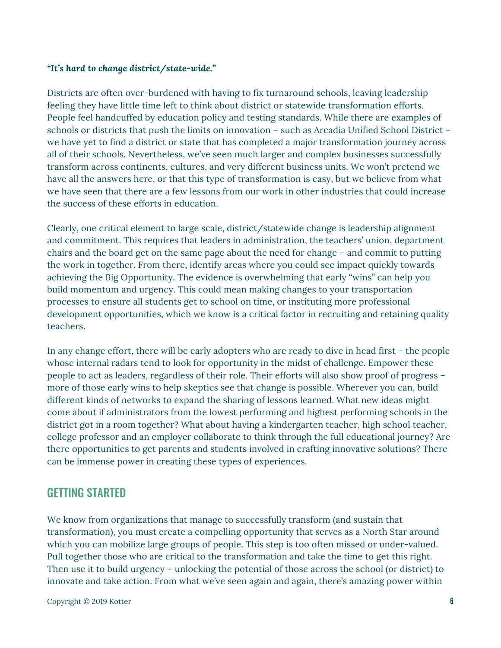#### *"It's hard to change district/state-wide."*

Districts are often over-burdened with having to fix turnaround schools, leaving leadership feeling they have little time left to think about district or statewide transformation efforts. People feel handcuffed by education policy and testing standards. While there are examples of schools or districts that push the limits on innovation – such as Arcadia Unified School District – we have yet to find a district or state that has completed a major transformation journey across all of their schools. Nevertheless, we've seen much larger and complex businesses successfully transform across continents, cultures, and very different business units. We won't pretend we have all the answers here, or that this type of transformation is easy, but we believe from what we have seen that there are a few lessons from our work in other industries that could increase the success of these efforts in education.

Clearly, one critical element to large scale, district/statewide change is leadership alignment and commitment. This requires that leaders in administration, the teachers' union, department chairs and the board get on the same page about the need for change – and commit to putting the work in together. From there, identify areas where you could see impact quickly towards achieving the Big Opportunity. The evidence is overwhelming that early "wins" can help you build momentum and urgency. This could mean making changes to your transportation processes to ensure all students get to school on time, or instituting more professional development opportunities, which we know is a critical factor in recruiting and retaining quality teachers.

In any change effort, there will be early adopters who are ready to dive in head first – the people whose internal radars tend to look for opportunity in the midst of challenge. Empower these people to act as leaders, regardless of their role. Their efforts will also show proof of progress – more of those early wins to help skeptics see that change is possible. Wherever you can, build different kinds of networks to expand the sharing of lessons learned. What new ideas might come about if administrators from the lowest performing and highest performing schools in the district got in a room together? What about having a kindergarten teacher, high school teacher, college professor and an employer collaborate to think through the full educational journey? Are there opportunities to get parents and students involved in crafting innovative solutions? There can be immense power in creating these types of experiences.

### GETTING STARTED

We know from organizations that manage to successfully transform (and sustain that transformation), you must create a compelling opportunity that serves as a North Star around which you can mobilize large groups of people. This step is too often missed or under-valued. Pull together those who are critical to the transformation and take the time to get this right. Then use it to build urgency – unlocking the potential of those across the school (or district) to innovate and take action. From what we've seen again and again, there's amazing power within